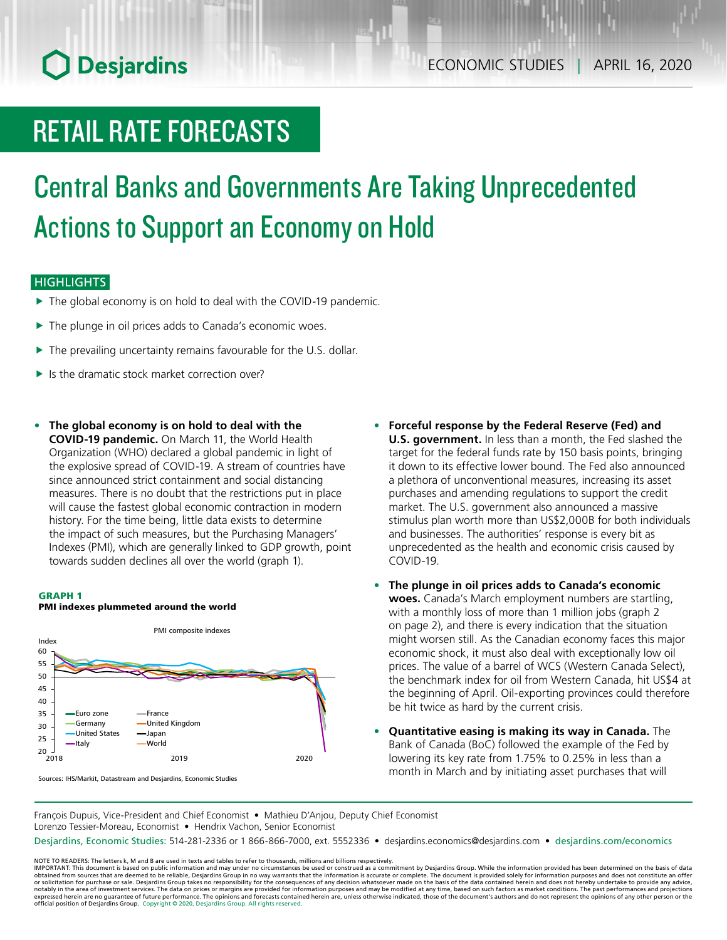# **O** Desjardins

# RETAIL RATE FORECASTS

# Central Banks and Governments Are Taking Unprecedented Actions to Support an Economy on Hold

### **HIGHLIGHTS**

- $\blacktriangleright$  The global economy is on hold to deal with the COVID-19 pandemic.
- $\blacktriangleright$  The plunge in oil prices adds to Canada's economic woes.
- $\blacktriangleright$  The prevailing uncertainty remains favourable for the U.S. dollar.
- $\blacktriangleright$  Is the dramatic stock market correction over?
- **• The global economy is on hold to deal with the COVID‑19 pandemic.** On March 11, the World Health Organization (WHO) declared a global pandemic in light of the explosive spread of COVID-19. A stream of countries have since announced strict containment and social distancing measures. There is no doubt that the restrictions put in place will cause the fastest global economic contraction in modern history. For the time being, little data exists to determine the impact of such measures, but the Purchasing Managers' Indexes (PMI), which are generally linked to GDP growth, point towards sudden declines all over the world (graph 1).

#### GRAPH 1



PMI indexes plummeted around the world

- **• Forceful response by the Federal Reserve (Fed) and U.S. government.** In less than a month, the Fed slashed the target for the federal funds rate by 150 basis points, bringing it down to its effective lower bound. The Fed also announced a plethora of unconventional measures, increasing its asset purchases and amending regulations to support the credit market. The U.S. government also announced a massive stimulus plan worth more than US\$2,000B for both individuals and businesses. The authorities' response is every bit as unprecedented as the health and economic crisis caused by COVID-19.
- **• The plunge in oil prices adds to Canada's economic woes.** Canada's March employment numbers are startling, with a monthly loss of more than 1 million jobs (graph 2 on page 2), and there is every indication that the situation might worsen still. As the Canadian economy faces this major economic shock, it must also deal with exceptionally low oil prices. The value of a barrel of WCS (Western Canada Select), the benchmark index for oil from Western Canada, hit US\$4 at the beginning of April. Oil-exporting provinces could therefore be hit twice as hard by the current crisis.
- **• Quantitative easing is making its way in Canada.** The Bank of Canada (BoC) followed the example of the Fed by lowering its key rate from 1.75% to 0.25% in less than a month in March and by initiating asset purchases that will

Sources: IHS/Markit, Datastream and Desjardins, Economic Studies

François Dupuis, Vice-President and Chief Economist • Mathieu D'Anjou, Deputy Chief Economist Lorenzo Tessier-Moreau, Economist • Hendrix Vachon, Senior Economist

Desjardins, Economic Studies: 514-281-2336 or 1 866-866-7000, ext. 5552336 • desjardins.economics@desjardins.com • [desjardins.com/economics](http://desjardins.com/economics)

NOTE TO READERS: The letters k, M and B are used in texts and tables to refer to thousands, millions and billions respectively.<br>IMPORTANT: This document is based on public information and may under no circumstances be used obtained from sources that are deemed to be reliable, Desjardins Group in no way warrants that the information is accurate or complete. The document is provided solely for information purposes and does not constitute an of expressed herein are no guarantee of future performance. The opinions and forecasts contained herein are, unless otherwise indicated, those of the document's authors and do not represent the opinions of any other person or official position of Desjardins Group. Copyright © 2020, Desjardins Group. All rights reserved.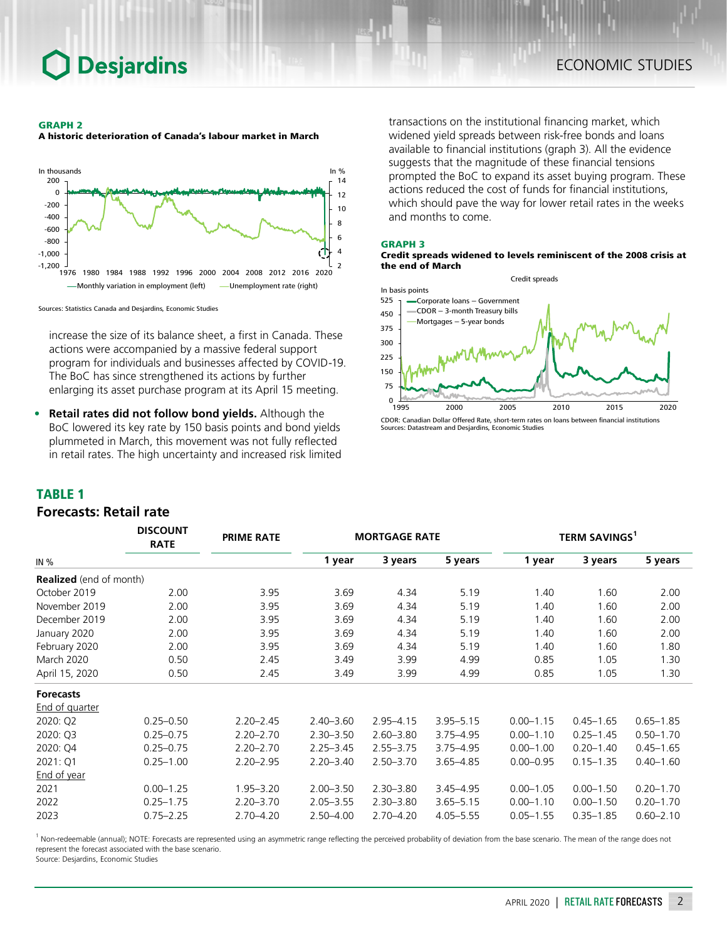# **Desjardins**

### GRAPH 2

A historic deterioration of Canada's labour market in March



Sources: Statistics Canada and Desjardins, Economic Studies

increase the size of its balance sheet, a first in Canada. These actions were accompanied by a massive federal support program for individuals and businesses affected by COVID-19. The BoC has since strengthened its actions by further enlarging its asset purchase program at its April 15 meeting.

**• Retail rates did not follow bond yields.** Although the BoC lowered its key rate by 150 basis points and bond yields plummeted in March, this movement was not fully reflected in retail rates. The high uncertainty and increased risk limited

*DISCOUNT* 

transactions on the institutional financing market, which widened yield spreads between risk-free bonds and loans available to financial institutions (graph 3). All the evidence suggests that the magnitude of these financial tensions prompted the BoC to expand its asset buying program. These actions reduced the cost of funds for financial institutions, which should pave the way for lower retail rates in the weeks and months to come.

#### GRAPH 3





CDOR: Canadian Dollar Offered Rate, short-term rates on loans between financial institutions Sources: Datastream and Desjardins, Economic Studies

### TABLE 1

### *Forecasts: Retail rate*

|                                | <b>DISCOUNT</b><br><b>RATE</b> | <b>PRIME RATE</b> |               | <b>MORTGAGE RATE</b> |               | <b>TERM SAVINGS</b> |               |               |  |
|--------------------------------|--------------------------------|-------------------|---------------|----------------------|---------------|---------------------|---------------|---------------|--|
| IN $%$                         |                                |                   | 1 year        | 3 years              | 5 years       | 1 year              | 3 years       | 5 years       |  |
| <b>Realized</b> (end of month) |                                |                   |               |                      |               |                     |               |               |  |
| October 2019                   | 2.00                           | 3.95              | 3.69          | 4.34                 | 5.19          | 1.40                | 1.60          | 2.00          |  |
| November 2019                  | 2.00                           | 3.95              | 3.69          | 4.34                 | 5.19          | 1.40                | 1.60          | 2.00          |  |
| December 2019                  | 2.00                           | 3.95              | 3.69          | 4.34                 | 5.19          | 1.40                | 1.60          | 2.00          |  |
| January 2020                   | 2.00                           | 3.95              | 3.69          | 4.34                 | 5.19          | 1.40                | 1.60          | 2.00          |  |
| February 2020                  | 2.00                           | 3.95              | 3.69          | 4.34                 | 5.19          | 1.40                | 1.60          | 1.80          |  |
| <b>March 2020</b>              | 0.50                           | 2.45              | 3.49          | 3.99                 | 4.99          | 0.85                | 1.05          | 1.30          |  |
| April 15, 2020                 | 0.50                           | 2.45              | 3.49          | 3.99                 | 4.99          | 0.85                | 1.05          | 1.30          |  |
| <b>Forecasts</b>               |                                |                   |               |                      |               |                     |               |               |  |
| <b>End of quarter</b>          |                                |                   |               |                      |               |                     |               |               |  |
| 2020: Q2                       | $0.25 - 0.50$                  | $2.20 - 2.45$     | $2.40 - 3.60$ | $2.95 - 4.15$        | $3.95 - 5.15$ | $0.00 - 1.15$       | $0.45 - 1.65$ | $0.65 - 1.85$ |  |
| 2020: Q3                       | $0.25 - 0.75$                  | $2.20 - 2.70$     | $2.30 - 3.50$ | $2.60 - 3.80$        | $3.75 - 4.95$ | $0.00 - 1.10$       | $0.25 - 1.45$ | $0.50 - 1.70$ |  |
| 2020: Q4                       | $0.25 - 0.75$                  | $2.20 - 2.70$     | $2.25 - 3.45$ | $2.55 - 3.75$        | $3.75 - 4.95$ | $0.00 - 1.00$       | $0.20 - 1.40$ | $0.45 - 1.65$ |  |
| 2021: Q1                       | $0.25 - 1.00$                  | $2.20 - 2.95$     | $2.20 - 3.40$ | $2.50 - 3.70$        | $3.65 - 4.85$ | $0.00 - 0.95$       | $0.15 - 1.35$ | $0.40 - 1.60$ |  |
| End of year                    |                                |                   |               |                      |               |                     |               |               |  |
| 2021                           | $0.00 - 1.25$                  | $1.95 - 3.20$     | $2.00 - 3.50$ | $2.30 - 3.80$        | $3.45 - 4.95$ | $0.00 - 1.05$       | $0.00 - 1.50$ | $0.20 - 1.70$ |  |
| 2022                           | $0.25 - 1.75$                  | $2.20 - 3.70$     | $2.05 - 3.55$ | $2.30 - 3.80$        | $3.65 - 5.15$ | $0.00 - 1.10$       | $0.00 - 1.50$ | $0.20 - 1.70$ |  |
| 2023                           | $0.75 - 2.25$                  | $2.70 - 4.20$     | $2.50 - 4.00$ | $2.70 - 4.20$        | $4.05 - 5.55$ | $0.05 - 1.55$       | $0.35 - 1.85$ | $0.60 - 2.10$ |  |

<sup>1</sup> Non-redeemable (annual); NOTE: Forecasts are represented using an asymmetric range reflecting the perceived probability of deviation from the base scenario. The mean of the range does not represent the forecast associated with the base scenario.

Source: Desjardins, Economic Studies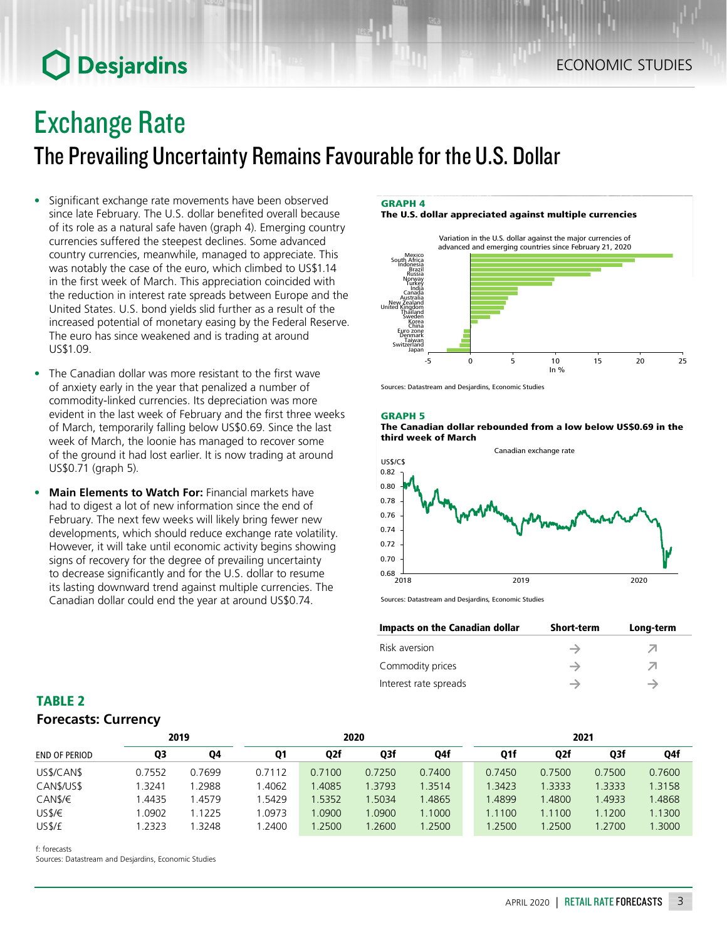# **O** Desjardins

# Exchange Rate

The Prevailing Uncertainty Remains Favourable for the U.S. Dollar

- Significant exchange rate movements have been observed since late February. The U.S. dollar benefited overall because of its role as a natural safe haven (graph 4). Emerging country currencies suffered the steepest declines. Some advanced country currencies, meanwhile, managed to appreciate. This was notably the case of the euro, which climbed to US\$1.14 in the first week of March. This appreciation coincided with the reduction in interest rate spreads between Europe and the United States. U.S. bond yields slid further as a result of the increased potential of monetary easing by the Federal Reserve. The euro has since weakened and is trading at around US\$1.09.
- The Canadian dollar was more resistant to the first wave of anxiety early in the year that penalized a number of commodity-linked currencies. Its depreciation was more evident in the last week of February and the first three weeks of March, temporarily falling below US\$0.69. Since the last week of March, the loonie has managed to recover some of the ground it had lost earlier. It is now trading at around US\$0.71 (graph 5).
- **• Main Elements to Watch For:** Financial markets have had to digest a lot of new information since the end of February. The next few weeks will likely bring fewer new developments, which should reduce exchange rate volatility. However, it will take until economic activity begins showing signs of recovery for the degree of prevailing uncertainty to decrease significantly and for the U.S. dollar to resume its lasting downward trend against multiple currencies. The Canadian dollar could end the year at around US\$0.74.

### GRAPH 4

The U.S. dollar appreciated against multiple currencies



Sources: Datastream and Desjardins, Economic Studies

#### GRAPH 5





Sources: Datastream and Desjardins, Economic Studies

| Impacts on the Canadian dollar | <b>Short-term</b> | Long-term |
|--------------------------------|-------------------|-----------|
| Risk aversion                  |                   |           |
| Commodity prices               |                   |           |
| Interest rate spreads          |                   |           |

# TABLE 2 *Forecasts: Currency*

|                      | 2019   |        | 2020   |        |        |        | 2021   |                  |        |        |
|----------------------|--------|--------|--------|--------|--------|--------|--------|------------------|--------|--------|
| <b>END OF PERIOD</b> | Q3     | Q4     | Q1     | Q2f    | Q3f    | Q4f    | Q1f    | Q <sub>2</sub> f | Q3f    | Q4f    |
| US\$/CAN\$           | 0.7552 | 0.7699 | 0.7112 | 0.7100 | 0.7250 | 0.7400 | 0.7450 | 0.7500           | 0.7500 | 0.7600 |
| CAN\$/US\$           | .3241  | .2988  | l.4062 | .4085  | 1.3793 | 1.3514 | 1.3423 | 1.3333           | 1.3333 | 1.3158 |
| CAN\$/€              | .4435  | l.4579 | .5429  | .5352  | 1.5034 | .4865  | .4899  | 1.4800           | 1.4933 | 1.4868 |
| USS/E                | .0902  | 1.1225 | .0973  | .0900  | 1.0900 | 1.1000 | 1.1100 | 1.1100           | 1.1200 | 1.1300 |
| US\$/£               | 1.2323 | .3248  | .2400  | .2500  | .2600  | .2500  | 1.2500 | .2500            | 1.2700 | .3000  |

f: forecasts

Sources: Datastream and Desjardins, Economic Studies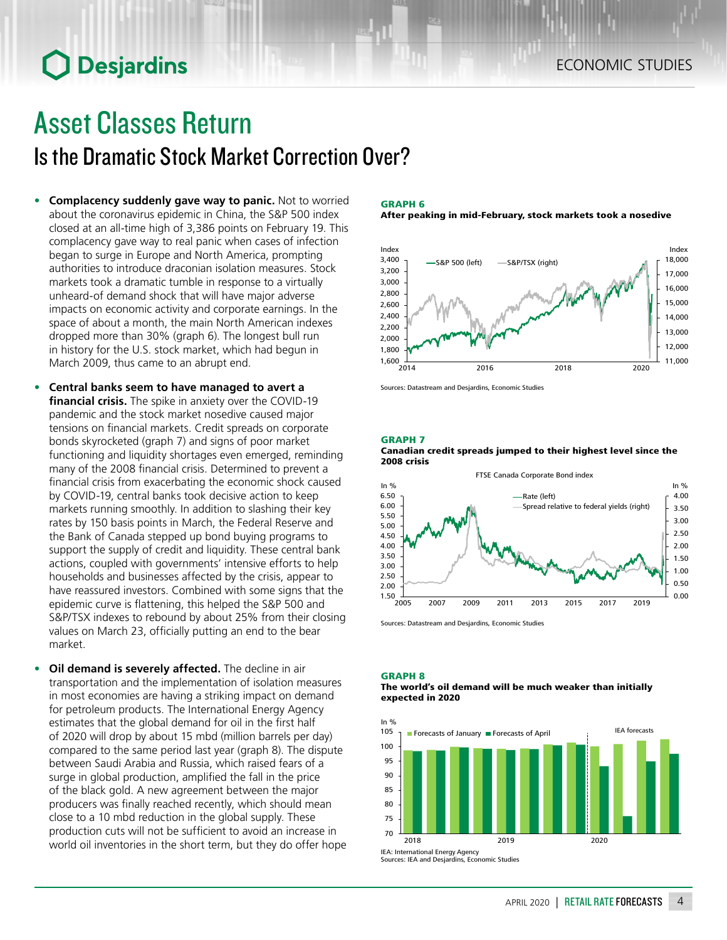# **O** Desjardins

# Asset Classes Return

Is the Dramatic Stock Market Correction Over?

- **• Complacency suddenly gave way to panic.** Not to worried about the coronavirus epidemic in China, the S&P 500 index closed at an all-time high of 3,386 points on February 19. This complacency gave way to real panic when cases of infection began to surge in Europe and North America, prompting authorities to introduce draconian isolation measures. Stock markets took a dramatic tumble in response to a virtually unheard-of demand shock that will have major adverse impacts on economic activity and corporate earnings. In the space of about a month, the main North American indexes dropped more than 30% (graph 6). The longest bull run in history for the U.S. stock market, which had begun in March 2009, thus came to an abrupt end.
- **• Central banks seem to have managed to avert a financial crisis.** The spike in anxiety over the COVID-19 pandemic and the stock market nosedive caused major tensions on financial markets. Credit spreads on corporate bonds skyrocketed (graph 7) and signs of poor market functioning and liquidity shortages even emerged, reminding many of the 2008 financial crisis. Determined to prevent a financial crisis from exacerbating the economic shock caused by COVID-19, central banks took decisive action to keep markets running smoothly. In addition to slashing their key rates by 150 basis points in March, the Federal Reserve and the Bank of Canada stepped up bond buying programs to support the supply of credit and liquidity. These central bank actions, coupled with governments' intensive efforts to help households and businesses affected by the crisis, appear to have reassured investors. Combined with some signs that the epidemic curve is flattening, this helped the S&P 500 and S&P/TSX indexes to rebound by about 25% from their closing values on March 23, officially putting an end to the bear market.
- **• Oil demand is severely affected.** The decline in air transportation and the implementation of isolation measures in most economies are having a striking impact on demand for petroleum products. The International Energy Agency estimates that the global demand for oil in the first half of 2020 will drop by about 15 mbd (million barrels per day) compared to the same period last year (graph 8). The dispute between Saudi Arabia and Russia, which raised fears of a surge in global production, amplified the fall in the price of the black gold. A new agreement between the major producers was finally reached recently, which should mean close to a 10 mbd reduction in the global supply. These production cuts will not be sufficient to avoid an increase in world oil inventories in the short term, but they do offer hope

#### GRAPH 6

#### After peaking in mid-February, stock markets took a nosedive



Sources: Datastream and Desjardins, Economic Studies

#### GRAPH 7

GRAPH 8





Sources: Datastream and Desjardins, Economic Studies

### The world's oil demand will be much weaker than initially expected in 2020 In % **Forecasts of January Forecasts of April** IEA forecasts



Sources: IEA and Desjardins, Economic Studies